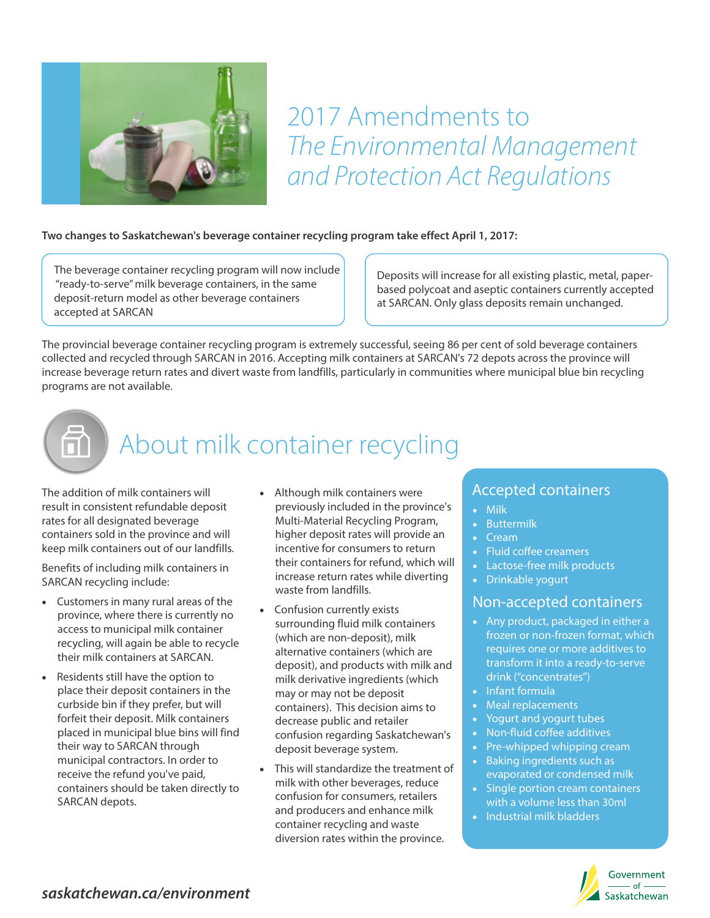

## 2017 Amendments to The Environmental Management and Protection Act Regulations

#### **Two changes to Saskatchewan's beverage container recycling program take effect April 1, 2017:**

The beverage container recycling program will now include "ready-to-serve" milk beverage containers, in the same deposit-return model as other beverage containers accepted at SARCAN

Deposits will increase for all existing plastic, metal, paperbased polycoat and aseptic containers currently accepted at SARCAN. Only glass deposits remain unchanged.

The provincial beverage container recycling program is extremely successful, seeing 86 per cent of sold beverage containers collected and recycled through SARCAN in 2016. Accepting milk containers at SARCAN's 72 depots across the province will increase beverage return rates and divert waste from landfills, particularly in communities where municipal blue bin recycling programs are not available.

## About milk container recycling

The addition of milk containers will result in consistent refundable deposit rates for all designated beverage containers sold in the province and will keep milk containers out of our landfills.

Benefits of including milk containers in SARCAN recycling include:

- · Customers in many rural areas of the province, where there is currently no access to municipal milk container recycling, will again be able to recycle their milk containers at SARCAN.
- · Residents still have the option to place their deposit containers in the curbside bin if they prefer, but will forfeit their deposit. Milk containers placed in municipal blue bins will find their way to SARCAN through municipal contractors. In order to receive the refund you've paid, containers should be taken directly to SARCAN depots.
- · Although milk containers were previously included in the province's Multi-Material Recycling Program, higher deposit rates will provide an incentive for consumers to return their containers for refund, which will increase return rates while diverting waste from landfills.
- Confusion currently exists surrounding fluid milk containers (which are non-deposit), milk alternative containers (which are deposit), and products with milk and milk derivative ingredients (which may or may not be deposit containers). This decision aims to decrease public and retailer confusion regarding Saskatchewan's deposit beverage system.
- This will standardize the treatment of milk with other beverages, reduce confusion for consumers, retailers and producers and enhance milk container recycling and waste diversion rates within the province.

### Accepted containers

- · Milk
- **Buttermilk**
- · Cream
- · Fluid coffee creamers
- · Lactose-free milk products
- · Drinkable yogurt

#### Non-accepted containers

- · Any product, packaged in either a frozen or non-frozen format, which requires one or more additives to transform it into a ready-to-serve drink ("concentrates")
- · Infant formula
- · Meal replacements
- Yogurt and yogurt tubes
- · Non-fluid coffee additives
- Pre-whipped whipping cream
- · Baking ingredients such as evaporated or condensed milk
- · Single portion cream containers with a volume less than 30ml
- · Industrial milk bladders